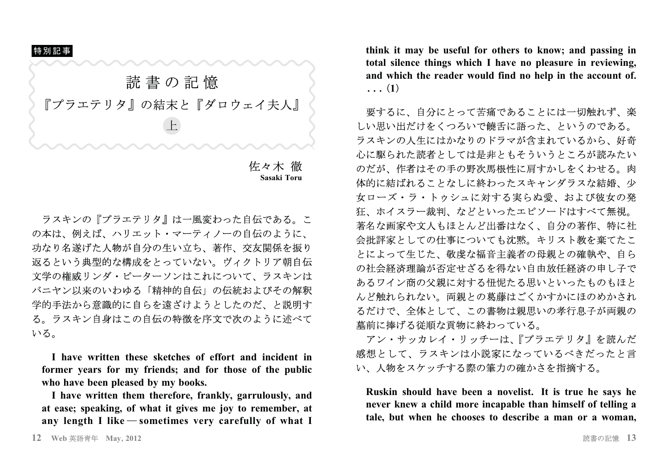



佐々木 徹 Sasaki Toru

ラスキンの『プラエテリタ』は一風変わった自伝である。こ の本は、例えば、ハリエット・マーティノーの自伝のように、 功なり名遂げた人物が自分の生い立ち、著作、交友関係を振り 返るという典型的な構成をとっていない。ヴィクトリア朝自伝 文学の権威リンダ・ピーターソンはこれについて、ラスキンは バニヤン以来のいわゆる「精神的自伝」の伝統およびその解釈 学的手法から意識的に自らを遠ざけようとしたのだ、と説明す る。ラスキン自身はこの自伝の特徴を序文で次のように述べて いる。

I have written these sketches of effort and incident in former years for my friends; and for those of the public who have been pleased by my books.

I have written them therefore, frankly, garrulously, and at ease; speaking, of what it gives me joy to remember, at any length I like - sometimes very carefully of what I

think it may be useful for others to know; and passing in total silence things which I have no pleasure in reviewing, and which the reader would find no help in the account of.  $\ldots$  (1)

要するに、自分にとって苦痛であることには一切触れず、楽 しい思い出だけをくつろいで饒舌に語った、というのである。 ラスキンの人生にはかなりのドラマが含まれているから、好奇 心に駆られた読者としては是非ともそういうところが読みたい のだが、作者はその手の野次馬根性に肩すかしをくわせる。肉 体的に結ばれることなしに終わったスキャンダラスな結婚、少 女ローズ・ラ・トゥシュに対する実らぬ愛、および彼女の発 狂、ホイスラー裁判、などといったエピソードはすべて無視。 著名な画家や文人もほとんど出番はなく、自分の著作、特に社 会批評家としての仕事についても沈黙。キリスト教を棄てたこ とによって生じた、敬虔な福音主義者の母親との確執や、自ら の社会経済理論が否定せざるを得ない自由放任経済の申し子で あるワイン商の父親に対する忸怩たる思いといったものもほと んど触れられない。両親との葛藤はごくかすかにほのめかされ るだけで、全体として、この書物は親思いの孝行息子が両親の 墓前に捧げる従順な貢物に終わっている。

アン・サッカレイ・リッチーは、『プラエテリタ』を読んだ 感想として、ラスキンは小説家になっているべきだったと言 い、人物をスケッチする際の筆力の確かさを指摘する。

Ruskin should have been a novelist. It is true he says he never knew a child more incapable than himself of telling a tale, but when he chooses to describe a man or a woman,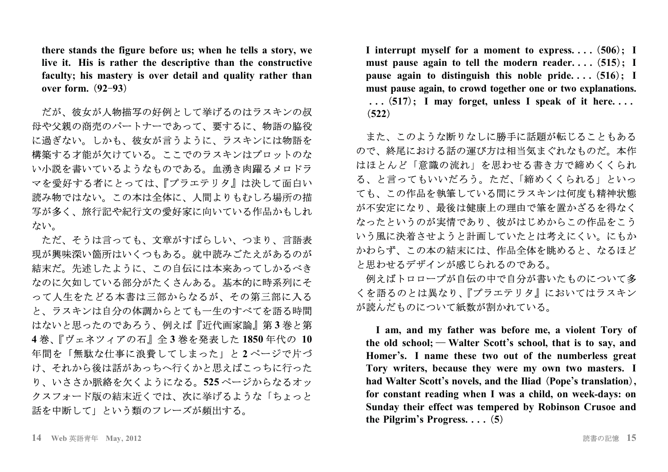there stands the figure before us; when he tells a story, we live it. His is rather the descriptive than the constructive faculty; his mastery is over detail and quality rather than over form.  $(92-93)$ 

だが、彼女が人物描写の好例として挙げるのはラスキンの叔 母や父親の商売のパートナーであって、要するに、物語の脇役 に過ぎない。しかも、彼女が言うように、ラスキンには物語を 構築する才能が欠けている。ここでのラスキンはプロットのな い小説を書いているようなものである。血湧き肉躍るメロドラ マを愛好する者にとっては、『プラエテリタ』は決して面白い 読み物ではない。この本は全体に、人間よりもむしろ場所の描 写が多く、旅行記や紀行文の愛好家に向いている作品かもしれ ない。

ただ、そうは言っても、文章がすばらしい、つまり、言語表 現が興味深い箇所はいくつもある。就中読みごたえがあるのが 結末だ。先述したように、この自伝には本来あってしかるべき なのに欠如している部分がたくさんある。基本的に時系列にそ って人生をたどる本書は三部からなるが、その第三部に入る と、ラスキンは自分の体調からとても一生のすべてを語る時間 はないと思ったのであろう、例えば『近代画家論』第3巻と第 4巻、『ヴェネツィアの石』全3巻を発表した1850年代の10 年間を「無駄な仕事に浪費してしまった」と2ページで片づ け、それから後は話があっちへ行くかと思えばこっちに行った り、いささか脈絡を欠くようになる。525 ページからなるオッ クスフォード版の結末近くでは、次に挙げるような「ちょっと 話を中断して」という類のフレーズが頻出する。

I interrupt myself for a moment to express....  $(506)$ ; I must pause again to tell the modern reader....  $(515)$ ; I pause again to distinguish this noble pride....  $(516)$ ; I must pause again, to crowd together one or two explanations.  $\ldots$  (517); I may forget, unless I speak of it here...  $(522)$ 

また、このような断りなしに勝手に話題が転じることもある ので、終尾における話の運び方は相当気まぐれなものだ。本作 はほとんど「意識の流れ」を思わせる書き方で締めくくられ る、と言ってもいいだろう。ただ、「締めくくられる」といっ ても、この作品を執筆している間にラスキンは何度も精神状態 が不安定になり、最後は健康上の理由で筆を置かざるを得なく なったというのが実情であり、彼がはじめからこの作品をこう いう風に決着させようと計画していたとは考えにくい。にもか かわらず、この本の結末には、作品全体を眺めると、なるほど と思わせるデザインが感じられるのである。

例えばトロロープが自伝の中で自分が書いたものについて多 くを語るのとは異なり、『プラエテリタ』においてはラスキン が読んだものについて紙数が割かれている。

I am, and my father was before me, a violent Tory of the old school;  $-Walter$  Scott's school, that is to say, and Homer's. I name these two out of the numberless great Tory writers, because they were my own two masters. I had Walter Scott's novels, and the Iliad (Pope's translation), for constant reading when I was a child, on week-days: on Sunday their effect was tempered by Robinson Crusoe and the Pilgrim's Progress....  $(5)$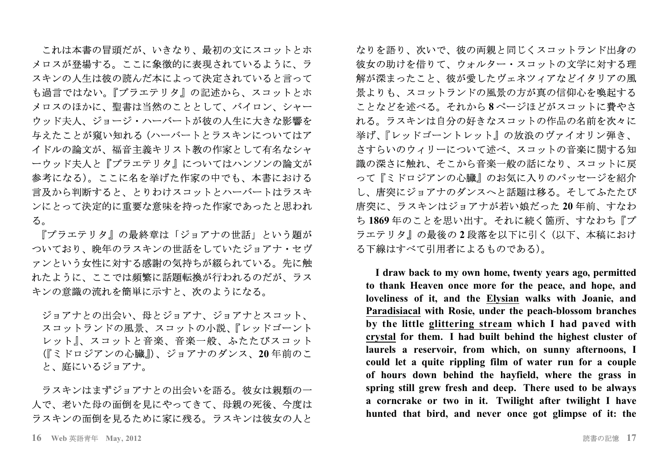これは本書の冒頭だが、いきなり、最初の文にスコットとホ メロスが登場する。ここに象徴的に表現されているように、ラ スキンの人生は彼の読んだ本によって決定されていると言って も過言ではない。『プラエテリタ』の記述から、スコットとホ メロスのほかに、聖書は当然のこととして、バイロン、シャー ウッド夫人、ジョージ・ハーバートが彼の人生に大きな影響を 与えたことが窺い知れる(ハーバートとラスキンについてはア イドルの論文が、福音主義キリスト教の作家として有名なシャ ーウッド夫人と『プラエテリタ』についてはハンソンの論文が 参考になる)。ここに名を挙げた作家の中でも、本書における 言及から判断すると、とりわけスコットとハーバートはラスキ ンにとって決定的に重要な意味を持った作家であったと思われ る。

『プラエテリタ』の最終章は「ジョアナの世話」という題が ついており、晩年のラスキンの世話をしていたジョアナ・セヴ ァンという女性に対する感謝の気持ちが綴られている。先に触 れたように、ここでは頻繁に話題転換が行われるのだが、ラス キンの意識の流れを簡単に示すと、次のようになる。

ジョアナとの出会い、母とジョアナ、ジョアナとスコット、 スコットランドの風景、スコットの小説、『レッドゴーント レット』、スコットと音楽、音楽一般、ふたたびスコット (『ミドロジアンの心臓』)、ジョアナのダンス、20年前のこ と、庭にいるジョアナ。

ラスキンはまずジョアナとの出会いを語る。彼女は親類の一 人で、老いた母の面倒を見にやってきて、母親の死後、今度は ラスキンの面倒を見るために家に残る。ラスキンは彼女の人と

なりを語り、次いで、彼の両親と同じくスコットランド出身の 彼女の助けを借りて、ウォルター・スコットの文学に対する理 解が深まったこと、彼が愛したヴェネツィアなどイタリアの風 景よりも、スコットランドの風景の方が真の信仰心を喚起する ことなどを述べる。それから8ページほどがスコットに費やさ れる。ラスキンは自分の好きなスコットの作品の名前を次々に 挙げ、『レッドゴーントレット』の放浪のヴァイオリン弾き、 さすらいのウィリーについて述べ、スコットの音楽に関する知 識の深さに触れ、そこから音楽一般の話になり、スコットに戻 って『ミドロジアンの心臓』のお気に入りのパッセージを紹介 し、唐突にジョアナのダンスへと話題は移る。そしてふたたび 唐突に、ラスキンはジョアナが若い娘だった20年前、すなわ ち1869年のことを思い出す。それに続く箇所、すなわち『プ ラエテリタ』の最後の2段落を以下に引く(以下、本稿におけ る下線はすべて引用者によるものである)。

I draw back to my own home, twenty years ago, permitted to thank Heaven once more for the peace, and hope, and loveliness of it, and the Elysian walks with Joanie, and Paradisiacal with Rosie, under the peach-blossom branches by the little glittering stream which I had paved with crystal for them. I had built behind the highest cluster of laurels a reservoir, from which, on sunny afternoons, I could let a quite rippling film of water run for a couple of hours down behind the hayfield, where the grass in spring still grew fresh and deep. There used to be always a corncrake or two in it. Twilight after twilight I have hunted that bird, and never once got glimpse of it: the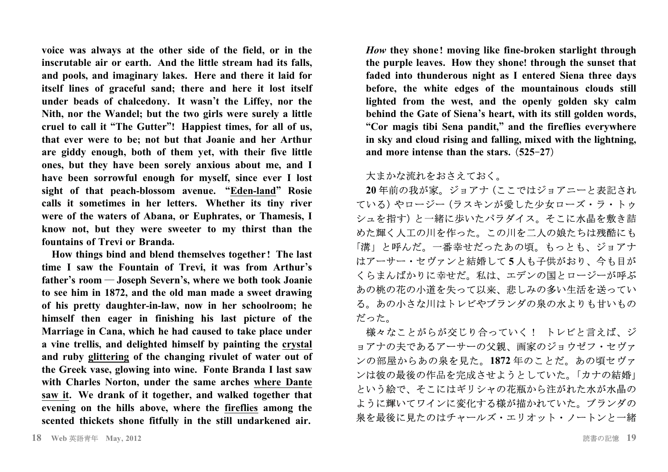voice was always at the other side of the field, or in the inscrutable air or earth. And the little stream had its falls, and pools, and imaginary lakes. Here and there it laid for **itself lines of graceful sand there and here it lost itself ;** under beads of chalcedony. It wasn't the Liffey, nor the Nith, nor the Wandel; but the two girls were surely a little cruel to call it "The Gutter"! Happiest times, for all of us, that ever were to be; not but that Joanie and her Arthur are giddy enough, both of them yet, with their five little ones, but they have been sorely anxious about me, and I **have been sorrowful enough for myself since ever I lost ,** sight of that peach-blossom avenue. "Eden-land" Rosie **calls it sometimes in her letters Whether its tiny river .** were of the waters of Abana, or Euphrates, or Thamesis, I **know not but they were sweeter to my thirst than the , fountains of Trevi or Branda.**

**How things bind and blend themselves together The last !** time I saw the Fountain of Trevi, it was from Arthur's father's room — Joseph Severn's, where we both took Joanie to see him in 1872, and the old man made a sweet drawing of his pretty daughter-in-law, now in her schoolroom; he **himself then eager in finishing his last picture of the Marriage in Cana which he had caused to take place under , <sup>a</sup> vine trellis and delighted himself by painting the crystal , and ruby glittering of the changing rivulet of water out of** the Greek vase, glowing into wine. Fonte Branda I last saw **with Charles Norton under the same arches where Dante ,** saw it. We drank of it together, and walked together that **evening on the hills above where the fireflies among the , scented thickets shone fitfully in the still undarkened air.**

*How* **they shone moving like fine broken starlight through ! the purple leaves How they shone through the sunset that . ! faded into thunderous night as I entered Siena three days before the white edges of the mountainous clouds still , lighted from the west and the openly golden sky calm ,** behind the Gate of Siena's heart, with its still golden words, **" " Cor magis tibi Sena pandit and the fireflies everywhere ,** in sky and cloud rising and falling, mixed with the lightning, **and more intense than the stars 525 27 .**

## 大まかな流れをおさえておく。

20 年前の我が家。ジョアナ (ここではジョアニーと表記され ている) やロージー (ラスキンが愛した少女ローズ・ラ・トゥ シュを指す) と一緒に歩いたパラダイス。そこに水晶を敷き詰 めた輝く人工の川を作った。この川を二人の娘たちは残酷にも 「溝」と呼んだ。一番幸せだったあの頃。もっとも、ジョアナ はアーサー・セヴァンと結婚して5人も子供がおり、今も目が くらまんばかりに幸せだ。私は、エデンの国とロージーが呼ぶ あの桃の花の小道を失って以来、悲しみの多い生活を送ってい る。あの小さな川はトレビやブランダの泉の水よりも甘いもの だった。

様々なことがらが交じり合っていく! トレビと言えば、ジ ョアナの夫であるアーサーの父親、画家のジョウゼフ・セヴァ ンの部屋からあの泉を見た。1872年のことだ。あの頃セヴァ ンは彼の最後の作品を完成させようとしていた。「カナの結婚」 という絵で、そこにはギリシャの花瓶から注がれた水が水晶の ように輝いてワインに変化する様が描かれていた。ブランダの 泉を最後に見たのはチャールズ・エリオット・ノートンと一緒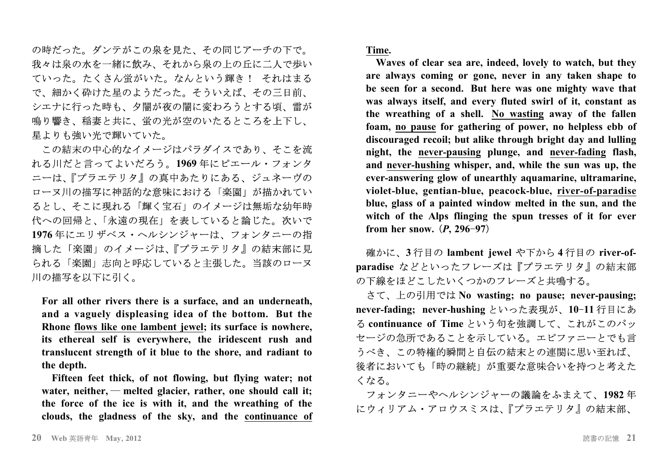の時だった。ダンテがこの泉を見た、その同じアーチの下で。 我々は泉の水を一緒に飲み、それから泉の上の丘に二人で歩い ていった。たくさん蛍がいた。なんという輝き! それはまる で、細かく砕けた星のようだった。そういえば、その三日前、 シエナに行った時も、夕闇が夜の闇に変わろうとする頃、雷が 鳴り響き、稲妻と共に、蛍の光が空のいたるところを上下し、 星よりも強い光で輝いていた。

この結末の中心的なイメージはパラダイスであり、そこを流 れる川だと言ってよいだろう。1969年にピエール・フォンタ ニーは、『プラエテリタ』の真中あたりにある、ジュネーヴの ローヌ川の描写に神話的な意味における「楽園」が描かれてい るとし、そこに現れる「輝く宝石」のイメージは無垢な幼年時 代への回帰と、「永遠の現在」を表していると論じた。次いで 1976年にエリザベス・ヘルシンジャーは、フォンタニーの指 摘した「楽園」のイメージは、『プラエテリタ』の結末部に見 られる「楽園」志向と呼応していると主張した。当該のローヌ 川の描写を以下に引く。

For all other rivers there is a surface, and an underneath, and a vaguely displeasing idea of the bottom. But the Rhone flows like one lambent jewel; its surface is nowhere, its ethereal self is everywhere, the iridescent rush and translucent strength of it blue to the shore, and radiant to the depth.

Fifteen feet thick, of not flowing, but flying water; not water, neither,  $-$  melted glacier, rather, one should call it: the force of the ice is with it, and the wreathing of the clouds, the gladness of the sky, and the continuance of Time.

Waves of clear sea are, indeed, lovely to watch, but they are always coming or gone, never in any taken shape to be seen for a second. But here was one mighty wave that was always itself, and every fluted swirl of it, constant as the wreathing of a shell. No wasting away of the fallen foam, no pause for gathering of power, no helpless ebb of discouraged recoil; but alike through bright day and lulling night, the never-pausing plunge, and never-fading flash, and never-hushing whisper, and, while the sun was up, the ever-answering glow of unearthly aquamarine, ultramarine, violet-blue, gentian-blue, peacock-blue, river-of-paradise blue, glass of a painted window melted in the sun, and the witch of the Alps flinging the spun tresses of it for ever from her snow.  $(P, 296-97)$ 

確かに、3行目の lambent jewel や下から4行目の river-ofparadise などといったフレーズは『プラエテリタ』の結末部 の下線をほどこしたいくつかのフレーズと共鳴する。

さて、上の引用では No wasting; no pause; never-pausing; never-fading; never-hushing といった表現が、10-11 行目にあ る continuance of Time という句を強調して、これがこのパッ セージの急所であることを示している。エピファニーとでも言 うべき、この特権的瞬間と自伝の結末との連関に思い至れば、 後者においても「時の継続」が重要な意味合いを持つと考えた くなる。

フォンタニーやヘルシンジャーの議論をふまえて、1982年 にウィリアム・アロウスミスは、『プラエテリタ』の結末部、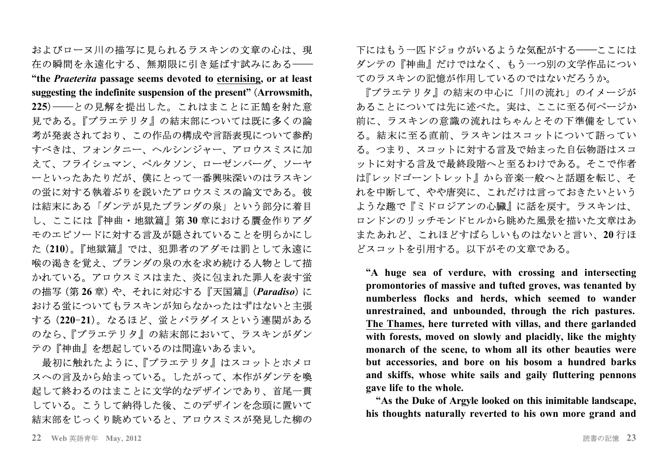およびローヌ川の描写に見られるラスキンの文章の心は、現 在の瞬間を永遠化する、無期限に引き延ばす試みにある–– "the *Praeterita* passage seems devoted to eternising, or at least suggesting the indefinite suspension of the present" (Arrowsmith, 225)––との見解を提出した。これはまことに正鵠を射た意 見である。『プラエテリタ』の結末部については既に多くの論 考が発表されており、この作品の構成や言語表現について参酌 すべきは、フォンタニー、ヘルシンジャー、アロウスミスに加 えて、フライシュマン、ペルタソン、ローゼンバーグ、ソーヤ ーといったあたりだが、僕にとって一番興味深いのはラスキン の蛍に対する執着ぶりを説いたアロウスミスの論文である。彼 は結末にある「ダンテが見たブランダの泉」という部分に着目 し、ここには『神曲・地獄篇』第30章における贋金作りアダ モのエピソードに対する言及が隠されていることを明らかにし た(210)。『地獄篇』では、犯罪者のアダモは罰として永遠に 喉の渇きを覚え、ブランダの泉の水を求め続ける人物として描 かれている。アロウスミスはまた、炎に包まれた罪人を表す蛍 の描写 (第26章) や、それに対応する『天国篇』(Paradiso) に おける蛍についてもラスキンが知らなかったはずはないと主張 する(220-21)。なるほど、蛍とパラダイスという連関がある のなら、『プラエテリタ』の結末部において、ラスキンがダン テの『神曲』を想起しているのは間違いあるまい。

最初に触れたように、『プラエテリタ』はスコットとホメロ スへの言及から始まっている。したがって、本作がダンテを喚 起して終わるのはまことに文学的なデザインであり、首尾一貫 している。こうして納得した後、このデザインを念頭に置いて 結末部をじっくり眺めていると、アロウスミスが発見した柳の

下にはもう一匹ドジョウがいるような気配がする――ここには ダンテの『神曲』だけではなく、もう一つ別の文学作品につい てのラスキンの記憶が作用しているのではないだろうか。

『プラエテリタ』の結末の中心に「川の流れ」のイメージが あることについては先に述べた。実は、ここに至る何ページか 前に、ラスキンの意識の流れはちゃんとその下準備をしてい る。結末に至る直前、ラスキンはスコットについて語ってい る。つまり、スコットに対する言及で始まった自伝物語はスコ ットに対する言及で最終段階へと至るわけである。そこで作者 は『レッドゴーントレット』から音楽一般へと話題を転じ、そ れを中断して、やや唐突に、これだけは言っておきたいという ような趣で『ミドロジアンの心臓』に話を戻す。ラスキンは、 ロンドンのリッチモンドヒルから眺めた風景を描いた文章はあ またあれど、これほどすばらしいものはないと言い、20行ほ どスコットを引用する。以下がその文章である。

"A huge sea of verdure, with crossing and intersecting promontories of massive and tufted groves, was tenanted by numberless flocks and herds, which seemed to wander unrestrained, and unbounded, through the rich pastures. The Thames, here turreted with villas, and there garlanded with forests, moved on slowly and placidly, like the mighty monarch of the scene, to whom all its other beauties were but accessories, and bore on his bosom a hundred barks and skiffs, whose white sails and gaily fluttering pennons gave life to the whole.

"As the Duke of Argyle looked on this inimitable landscape, his thoughts naturally reverted to his own more grand and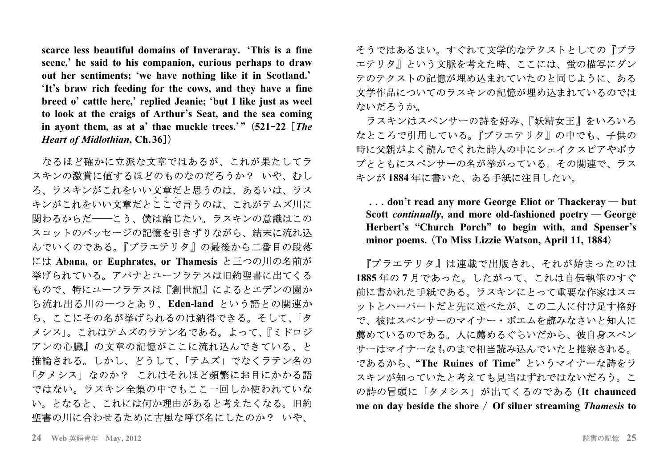scarce less beautiful domains of Inveraray. 'This is a fine scene,' he said to his companion, curious perhaps to draw out her sentiments; 'we have nothing like it in Scotland.' 'It's braw rich feeding for the cows, and they have a fine breed o' cattle here,' replied Jeanie; 'but I like just as weel to look at the craigs of Arthur's Seat, and the sea coming in avont them, as at a' thae muckle trees."  $(521-22)$  [The Heart of Midlothian, Ch.36])

なるほど確かに立派な文章ではあるが、これが果たしてラ スキンの激賞に値するほどのものなのだろうか? いや、むし ろ、ラスキンがこれをいい文章だと思うのは、あるいは、ラス キンがこれをいい文章だとここで言うのは、これがテムズ川に 関わるからだ――こう、僕は論じたい。ラスキンの意識はこの スコットのパッセージの記憶を引きずりながら、結末に流れ込 んでいくのである。『プラエテリタ』の最後から二番目の段落 には Abana, or Euphrates, or Thamesis と三つの川の名前が 挙げられている。アバナとユーフラテスは旧約聖書に出てくる もので、特にユーフラテスは『創世記』によるとエデンの園か ら流れ出る川の一つとあり、Eden-land という語との関連か ら、ここにその名が挙げられるのは納得できる。そして、「タ メシス」。これはテムズのラテン名である。よって、『ミドロジ アンの心臓』の文章の記憶がここに流れ込んできている、と 推論される。しかし、どうして、「テムズ」でなくラテン名の 「タメシス」なのか? これはそれほど頻繁にお目にかかる語 ではない。ラスキン全集の中でもここ一回しか使われていな い。となると、これには何か理由があると考えたくなる。旧約 聖書の川に合わせるために古風な呼び名にしたのか? いや、

そうではあるまい。すぐれて文学的なテクストとしての『プラ エテリタ』という文脈を考えた時、ここには、蛍の描写にダン テのテクストの記憶が埋め込まれていたのと同じように、ある 文学作品についてのラスキンの記憶が埋め込まれているのでは ないだろうか。

ラスキンはスペンサーの詩を好み、『妖精女王』をいろいろ なところで引用している。『プラエテリタ』の中でも、子供の 時に父親がよく読んでくれた詩人の中にシェイクスピアやポウ プとともにスペンサーの名が挙がっている。その関連で、ラス キンが1884年に書いた、ある手紙に注目したい。

 $\ldots$  don't read any more George Eliot or Thackeray — but Scott *continually*, and more old-fashioned poetry  $-$  George Herbert's "Church Porch" to begin with, and Spenser's minor poems. (To Miss Lizzie Watson, April 11, 1884)

『プラエテリタ』は連載で出版され、それが始まったのは 1885年の7月であった。したがって、これは自伝執筆のすぐ 前に書かれた手紙である。ラスキンにとって重要な作家はスコ ットとハーバートだと先に述べたが、この二人に付け足す格好 で、彼はスペンサーのマイナー・ポエムを読みなさいと知人に 薦めているのである。人に薦めるぐらいだから、彼自身スペン サーはマイナーなものまで相当読み込んでいたと推察される。 であるから、"The Ruines of Time"というマイナーな詩をラ スキンが知っていたと考えても見当はずれではないだろう。こ の詩の冒頭に「タメシス」が出てくるのである (It chaunced me on day beside the shore / Of siluer streaming Thamesis to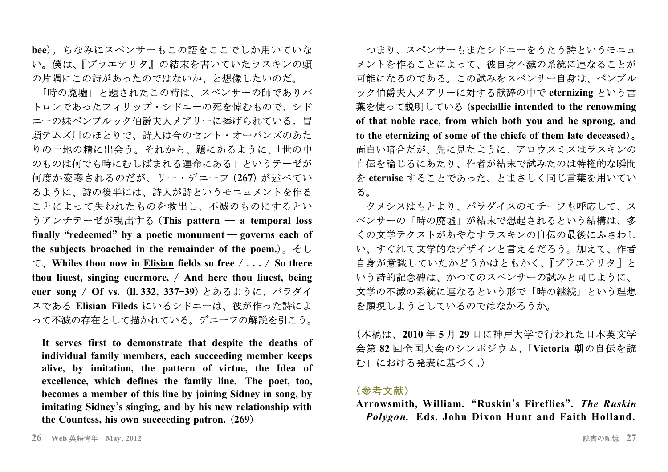bee)。ちなみにスペンサーもこの語をここでしか用いていな い。僕は、『プラエテリタ』の結末を書いていたラスキンの頭 の片隅にこの詩があったのではないか、と想像したいのだ。

「時の廃墟」と題されたこの詩は、スペンサーの師でありパ トロンであったフィリップ・シドニーの死を悼むもので、シド ニーの妹ペンブルック伯爵夫人メアリーに捧げられている。冒 頭テムズ川のほとりで、詩人は今のセント・オーバンズのあた りの土地の精に出会う。それから、題にあるように、「世の中 のものは何でも時にむしばまれる運命にある」というテーゼが 何度か変奏されるのだが、リー・デニーフ (267) が述べてい るように、詩の後半には、詩人が詩というモニュメントを作る ことによって失われたものを救出し、不滅のものにするとい うアンチテーゼが現出する (This pattern - a temporal loss finally "redeemed" by a poetic monument  $-$  governs each of the subjects broached in the remainder of the poem.).  $\zeta \cup \zeta$  $\zeta$ , Whiles thou now in Elisian fields so free  $/ \ldots /$  So there thou liuest, singing euermore, / And here thou liuest, being euer song / Of vs. (II. 332, 337-39) とあるように、パラダイ スである Elisian Fileds にいるシドニーは、彼が作った詩によ って不滅の存在として描かれている。デニーフの解説を引こう。

It serves first to demonstrate that despite the deaths of individual family members, each succeeding member keeps alive, by imitation, the pattern of virtue, the Idea of excellence, which defines the family line. The poet, too, becomes a member of this line by joining Sidney in song, by imitating Sidney's singing, and by his new relationship with the Countess, his own succeeding patron. (269)

つまり、スペンサーもまたシドニーをうたう詩というモニュ メントを作ることによって、彼自身不滅の系統に連なることが 可能になるのである。この試みをスペンサー自身は、ペンブル ック伯爵夫人メアリーに対する献辞の中で eternizing という言 葉を使って説明している (speciallie intended to the renowming of that noble race, from which both you and he sprong, and to the eternizing of some of the chiefe of them late deceased). 面白い暗合だが、先に見たように、アロウスミスはラスキンの 自伝を論じるにあたり、作者が結末で試みたのは特権的な瞬間 を eternise することであった、とまさしく同じ言葉を用いてい る。

タメシスはもとより、パラダイスのモチーフも呼応して、ス ペンサーの「時の廃墟」が結末で想起されるという結構は、多 くの文学テクストがあやなすラスキンの自伝の最後にふさわし い、すぐれて文学的なデザインと言えるだろう。加えて、作者 自身が意識していたかどうかはともかく、『プラエテリタ』と いう詩的記念碑は、かつてのスペンサーの試みと同じように、 文学の不滅の系統に連なるという形で「時の継続」という理想 を顕現しようとしているのではなかろうか。

(本稿は、2010年5月29日に神戸大学で行われた日本英文学 会第82回全国大会のシンポジウム、「Victoria 朝の自伝を読 む」における発表に基づく。)

## 〈参考文献〉

Arrowsmith, William. "Ruskin's Fireflies". The Ruskin Polygon. Eds. John Dixon Hunt and Faith Holland.